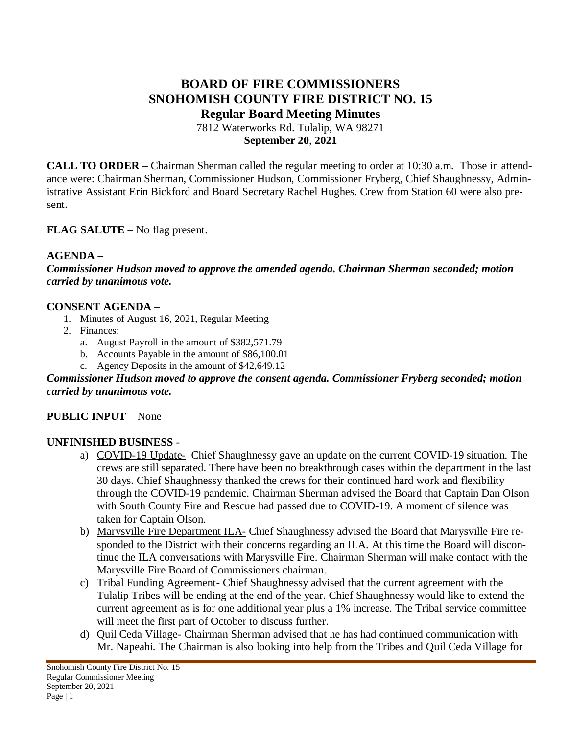# **BOARD OF FIRE COMMISSIONERS SNOHOMISH COUNTY FIRE DISTRICT NO. 15 Regular Board Meeting Minutes**

7812 Waterworks Rd. Tulalip, WA 98271 **September 20**, **2021**

**CALL TO ORDER –** Chairman Sherman called the regular meeting to order at 10:30 a.m. Those in attendance were: Chairman Sherman, Commissioner Hudson, Commissioner Fryberg, Chief Shaughnessy, Administrative Assistant Erin Bickford and Board Secretary Rachel Hughes. Crew from Station 60 were also present.

### **FLAG SALUTE –** No flag present.

#### **AGENDA –**

*Commissioner Hudson moved to approve the amended agenda. Chairman Sherman seconded; motion carried by unanimous vote.*

#### **CONSENT AGENDA –**

- 1. Minutes of August 16, 2021, Regular Meeting
- 2. Finances:
	- a. August Payroll in the amount of \$382,571.79
	- b. Accounts Payable in the amount of \$86,100.01
	- c. Agency Deposits in the amount of \$42,649.12

#### *Commissioner Hudson moved to approve the consent agenda. Commissioner Fryberg seconded; motion carried by unanimous vote.*

#### **PUBLIC INPUT** – None

#### **UNFINISHED BUSINESS** -

- a) COVID-19 Update- Chief Shaughnessy gave an update on the current COVID-19 situation. The crews are still separated. There have been no breakthrough cases within the department in the last 30 days. Chief Shaughnessy thanked the crews for their continued hard work and flexibility through the COVID-19 pandemic. Chairman Sherman advised the Board that Captain Dan Olson with South County Fire and Rescue had passed due to COVID-19. A moment of silence was taken for Captain Olson.
- b) Marysville Fire Department ILA- Chief Shaughnessy advised the Board that Marysville Fire responded to the District with their concerns regarding an ILA. At this time the Board will discontinue the ILA conversations with Marysville Fire. Chairman Sherman will make contact with the Marysville Fire Board of Commissioners chairman.
- c) Tribal Funding Agreement- Chief Shaughnessy advised that the current agreement with the Tulalip Tribes will be ending at the end of the year. Chief Shaughnessy would like to extend the current agreement as is for one additional year plus a 1% increase. The Tribal service committee will meet the first part of October to discuss further.
- d) Quil Ceda Village- Chairman Sherman advised that he has had continued communication with Mr. Napeahi. The Chairman is also looking into help from the Tribes and Quil Ceda Village for